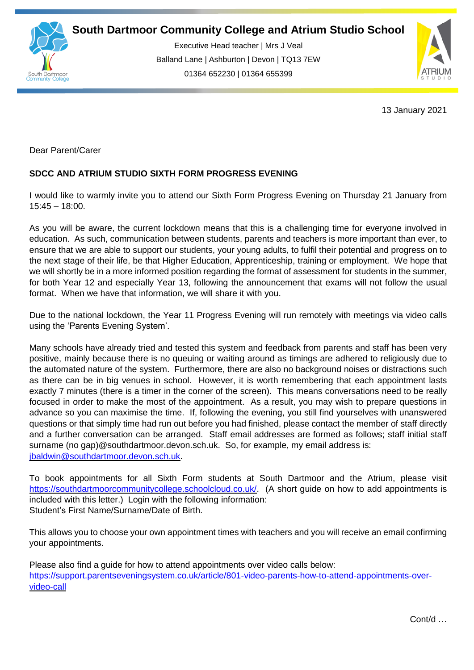

Executive Head teacher | Mrs J Veal Balland Lane | Ashburton | Devon | TQ13 7EW 01364 652230 | 01364 655399

ww.south.co.uk | [www.atrium-studio.co.uk](http://www.atrium-studio.co.uk/) | www.atrium-studio.co.uk



13 January 2021

Dear Parent/Carer

## **SDCC AND ATRIUM STUDIO SIXTH FORM PROGRESS EVENING**

I would like to warmly invite you to attend our Sixth Form Progress Evening on Thursday 21 January from 15:45 – 18:00.

As you will be aware, the current lockdown means that this is a challenging time for everyone involved in education. As such, communication between students, parents and teachers is more important than ever, to ensure that we are able to support our students, your young adults, to fulfil their potential and progress on to the next stage of their life, be that Higher Education, Apprenticeship, training or employment. We hope that we will shortly be in a more informed position regarding the format of assessment for students in the summer, for both Year 12 and especially Year 13, following the announcement that exams will not follow the usual format. When we have that information, we will share it with you.

Due to the national lockdown, the Year 11 Progress Evening will run remotely with meetings via video calls using the 'Parents Evening System'.

Many schools have already tried and tested this system and feedback from parents and staff has been very positive, mainly because there is no queuing or waiting around as timings are adhered to religiously due to the automated nature of the system. Furthermore, there are also no background noises or distractions such as there can be in big venues in school. However, it is worth remembering that each appointment lasts exactly 7 minutes (there is a timer in the corner of the screen). This means conversations need to be really focused in order to make the most of the appointment. As a result, you may wish to prepare questions in advance so you can maximise the time. If, following the evening, you still find yourselves with unanswered questions or that simply time had run out before you had finished, please contact the member of staff directly and a further conversation can be arranged. Staff email addresses are formed as follows; staff initial staff surname (no gap)@southdartmoor.devon.sch.uk. So, for example, my email address is: [jbaldwin@southdartmoor.devon.sch.uk.](mailto:jbaldwin@southdartmoor.devon.sch.uk)

To book appointments for all Sixth Form students at South Dartmoor and the Atrium, please visit https://southdartmoorcommunitycollege.schoolcloud.co.uk/ (A short guide on how to add appointments is included with this letter.) Login with the following information: Student's First Name/Surname/Date of Birth.

This allows you to choose your own appointment times with teachers and you will receive an email confirming your appointments.

Please also find a guide for how to attend appointments over video calls below: [https://support.parentseveningsystem.co.uk/article/801-video-parents-how-to-attend-appointments-over](https://support.parentseveningsystem.co.uk/article/801-video-parents-how-to-attend-appointments-over-video-call)[video-call](https://support.parentseveningsystem.co.uk/article/801-video-parents-how-to-attend-appointments-over-video-call)